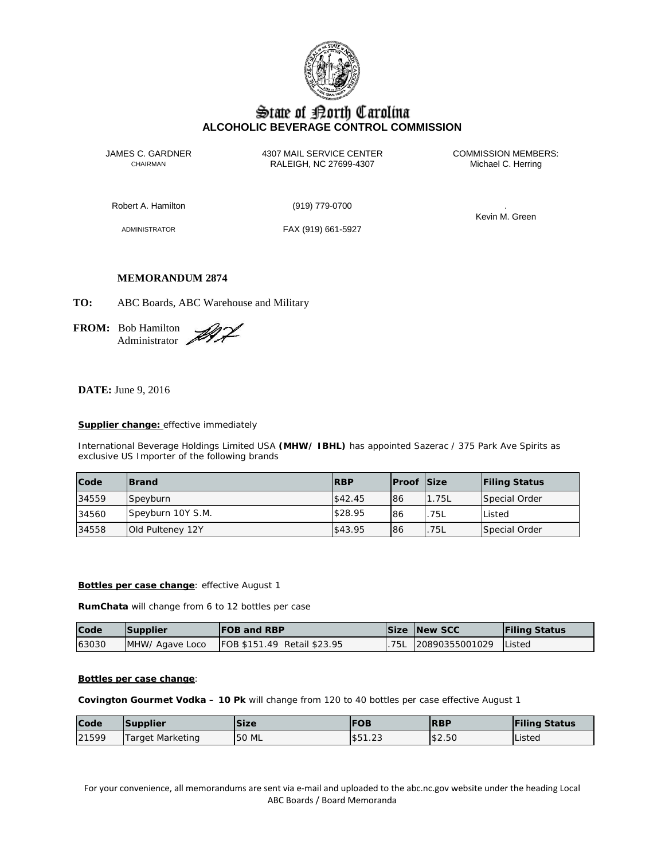

# State of Borth Carolina **ALCOHOLIC BEVERAGE CONTROL COMMISSION**

JAMES C. GARDNER 4307 MAIL SERVICE CENTER<br>CHAIRMAN CHAIRMAN RALEIGH, NC 27699-4307 Michael C. Herring RALEIGH, NC 27699-4307

Robert A. Hamilton (919) 779-0700 .

ADMINISTRATOR FAX (919) 661-5927

Kevin M. Green

# **MEMORANDUM 2874**

**TO:** ABC Boards, ABC Warehouse and Military

**FROM:** Bob Hamilton Administrator

**DATE:** June 9, 2016

# **Supplier change:** effective immediately

International Beverage Holdings Limited USA **(MHW/ IBHL)** has appointed Sazerac / 375 Park Ave Spirits as exclusive US Importer of the following brands

| Code  | <b>IBrand</b>     | <b>RBP</b> | <b>Proof Size</b> |       | <b>Filing Status</b> |
|-------|-------------------|------------|-------------------|-------|----------------------|
| 34559 | Speyburn          | \$42.45    | 86                | 1.75L | Special Order        |
| 34560 | Speyburn 10Y S.M. | \$28.95    | 86                | 75L   | Listed               |
| 34558 | Old Pulteney 12Y  | \$43.95    | 86                | 75L   | Special Order        |

# **Bottles per case change**: effective August 1

**RumChata** will change from 6 to 12 bottles per case

| Code  | Supplier         | <b>IFOB and RBP</b>                |     | <b>Size New SCC</b>   | <b>Filing Status</b> |
|-------|------------------|------------------------------------|-----|-----------------------|----------------------|
| 63030 | IMHW/ Agave Loco | <b>FOB \$151.49 Retail \$23.95</b> | 75L | 20890355001029 Listed |                      |

#### **Bottles per case change**:

**Covington Gourmet Vodka – 10 Pk** will change from 120 to 40 bottles per case effective August 1

| Code  | <b>Supplier</b>  | <b>Size</b>  | <b>IFOB</b>                     | <b>IRBP</b> | <b>Filing Status</b> |
|-------|------------------|--------------|---------------------------------|-------------|----------------------|
| 21599 | Target Marketing | <b>50 ML</b> | <b>CO</b><br>$\sim$<br>155 I.Z3 | \$2.50      | Listed               |

For your convenience, all memorandums are sent via e-mail and uploaded to the abc.nc.gov website under the heading Local ABC Boards / Board Memoranda